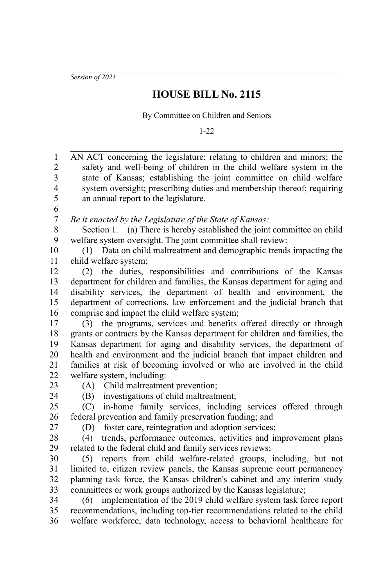*Session of 2021*

## **HOUSE BILL No. 2115**

By Committee on Children and Seniors

1-22

AN ACT concerning the legislature; relating to children and minors; the safety and well-being of children in the child welfare system in the state of Kansas; establishing the joint committee on child welfare system oversight; prescribing duties and membership thereof; requiring an annual report to the legislature. *Be it enacted by the Legislature of the State of Kansas:* Section 1. (a) There is hereby established the joint committee on child welfare system oversight. The joint committee shall review: (1) Data on child maltreatment and demographic trends impacting the child welfare system; (2) the duties, responsibilities and contributions of the Kansas department for children and families, the Kansas department for aging and disability services, the department of health and environment, the department of corrections, law enforcement and the judicial branch that comprise and impact the child welfare system; (3) the programs, services and benefits offered directly or through grants or contracts by the Kansas department for children and families, the Kansas department for aging and disability services, the department of health and environment and the judicial branch that impact children and families at risk of becoming involved or who are involved in the child welfare system, including: (A) Child maltreatment prevention; (B) investigations of child maltreatment; (C) in-home family services, including services offered through federal prevention and family preservation funding; and (D) foster care, reintegration and adoption services; (4) trends, performance outcomes, activities and improvement plans related to the federal child and family services reviews; (5) reports from child welfare-related groups, including, but not limited to, citizen review panels, the Kansas supreme court permanency planning task force, the Kansas children's cabinet and any interim study committees or work groups authorized by the Kansas legislature; (6) implementation of the 2019 child welfare system task force report recommendations, including top-tier recommendations related to the child welfare workforce, data technology, access to behavioral healthcare for 1 2 3 4 5 6 7 8 9 10 11 12 13 14 15 16 17 18 19 20 21 22 23 24 25 26 27 28 29 30 31 32 33 34 35 36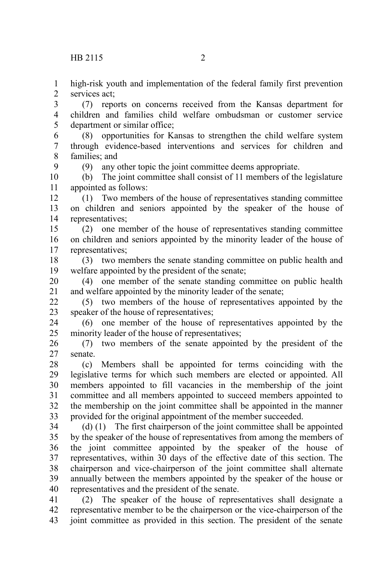9

high-risk youth and implementation of the federal family first prevention services act; 1 2

(7) reports on concerns received from the Kansas department for children and families child welfare ombudsman or customer service department or similar office; 3 4 5

(8) opportunities for Kansas to strengthen the child welfare system through evidence-based interventions and services for children and families; and 6 7 8

(9) any other topic the joint committee deems appropriate.

(b) The joint committee shall consist of 11 members of the legislature appointed as follows: 10 11

(1) Two members of the house of representatives standing committee on children and seniors appointed by the speaker of the house of representatives; 12 13 14

(2) one member of the house of representatives standing committee on children and seniors appointed by the minority leader of the house of representatives; 15 16 17

(3) two members the senate standing committee on public health and welfare appointed by the president of the senate; 18 19

(4) one member of the senate standing committee on public health and welfare appointed by the minority leader of the senate; 20 21

(5) two members of the house of representatives appointed by the speaker of the house of representatives;  $22$ 23

(6) one member of the house of representatives appointed by the minority leader of the house of representatives; 24 25

(7) two members of the senate appointed by the president of the senate. 26 27

(c) Members shall be appointed for terms coinciding with the legislative terms for which such members are elected or appointed. All members appointed to fill vacancies in the membership of the joint committee and all members appointed to succeed members appointed to the membership on the joint committee shall be appointed in the manner provided for the original appointment of the member succeeded. 28 29 30 31 32 33

(d) (1) The first chairperson of the joint committee shall be appointed by the speaker of the house of representatives from among the members of the joint committee appointed by the speaker of the house of representatives, within 30 days of the effective date of this section. The chairperson and vice-chairperson of the joint committee shall alternate annually between the members appointed by the speaker of the house or representatives and the president of the senate. 34 35 36 37 38 39 40

(2) The speaker of the house of representatives shall designate a representative member to be the chairperson or the vice-chairperson of the joint committee as provided in this section. The president of the senate 41 42 43